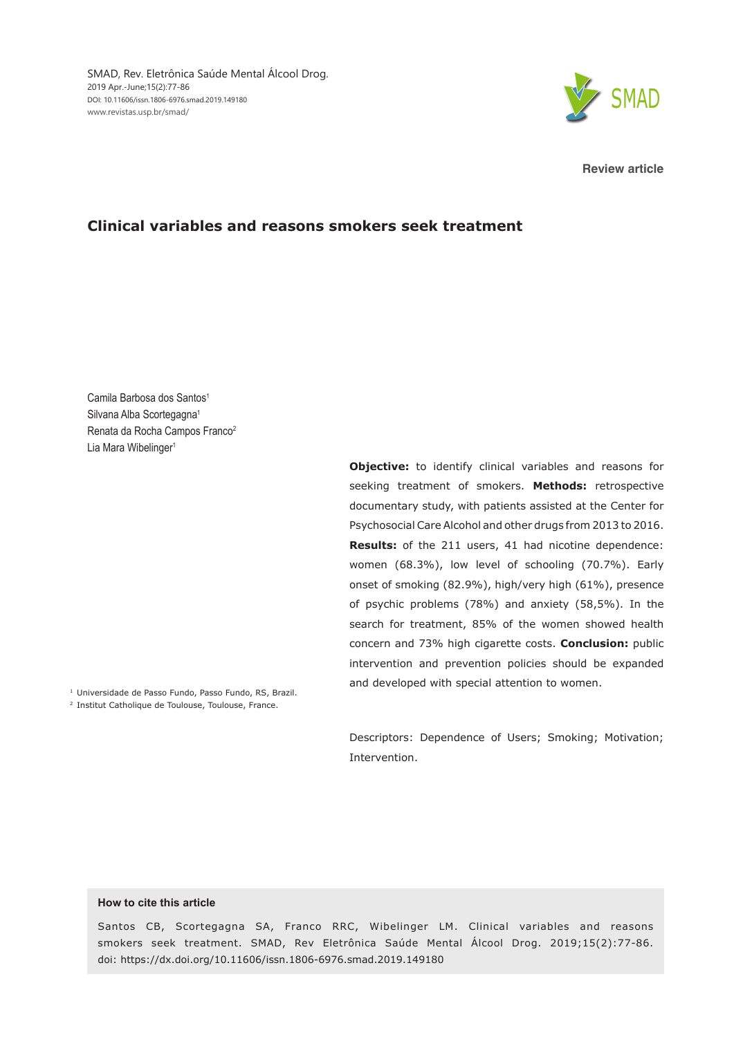

**Review article**

## **Clinical variables and reasons smokers seek treatment**

Camila Barbosa dos Santos<sup>1</sup> Silvana Alba Scortegagna<sup>1</sup> Renata da Rocha Campos Franco<sup>2</sup> Lia Mara Wibelinger<sup>1</sup>

> **Objective:** to identify clinical variables and reasons for seeking treatment of smokers. **Methods:** retrospective documentary study, with patients assisted at the Center for Psychosocial Care Alcohol and other drugs from 2013 to 2016. **Results:** of the 211 users, 41 had nicotine dependence: women (68.3%), low level of schooling (70.7%). Early onset of smoking (82.9%), high/very high (61%), presence of psychic problems (78%) and anxiety (58,5%). In the search for treatment, 85% of the women showed health concern and 73% high cigarette costs. **Conclusion:** public intervention and prevention policies should be expanded and developed with special attention to women.

<sup>1</sup> Universidade de Passo Fundo, Passo Fundo, RS, Brazil.

<sup>2</sup> Institut Catholique de Toulouse, Toulouse, France.

Descriptors: Dependence of Users; Smoking; Motivation; Intervention.

#### **How to cite this article**

Santos CB, Scortegagna SA, Franco RRC, Wibelinger LM. Clinical variables and reasons smokers seek treatment. SMAD, Rev Eletrônica Saúde Mental Álcool Drog. 2019;15(2):77-86. doi: https://dx.doi.org/10.11606/issn.1806-6976.smad.2019.149180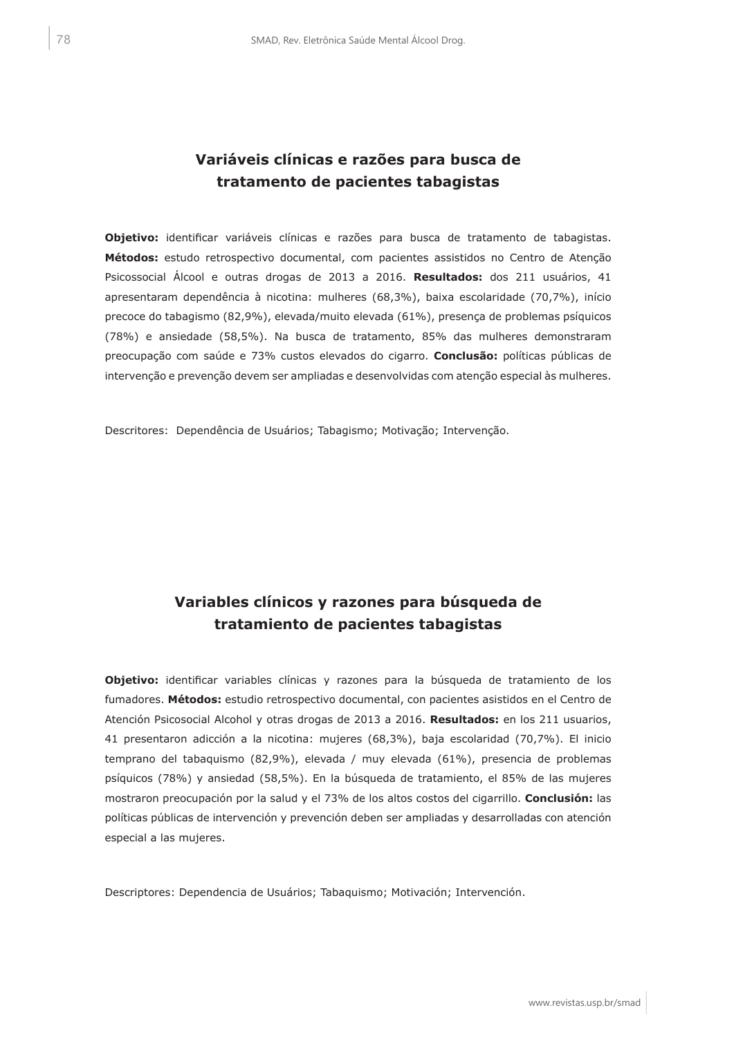# **Variáveis clínicas e razões para busca de tratamento de pacientes tabagistas**

**Objetivo:** identificar variáveis clínicas e razões para busca de tratamento de tabagistas. **Métodos:** estudo retrospectivo documental, com pacientes assistidos no Centro de Atenção Psicossocial Álcool e outras drogas de 2013 a 2016. **Resultados:** dos 211 usuários, 41 apresentaram dependência à nicotina: mulheres (68,3%), baixa escolaridade (70,7%), início precoce do tabagismo (82,9%), elevada/muito elevada (61%), presença de problemas psíquicos (78%) e ansiedade (58,5%). Na busca de tratamento, 85% das mulheres demonstraram preocupação com saúde e 73% custos elevados do cigarro. **Conclusão:** políticas públicas de intervenção e prevenção devem ser ampliadas e desenvolvidas com atenção especial às mulheres.

Descritores: Dependência de Usuários; Tabagismo; Motivação; Intervenção.

# **Variables clínicos y razones para búsqueda de tratamiento de pacientes tabagistas**

**Objetivo:** identificar variables clínicas y razones para la búsqueda de tratamiento de los fumadores. **Métodos:** estudio retrospectivo documental, con pacientes asistidos en el Centro de Atención Psicosocial Alcohol y otras drogas de 2013 a 2016. **Resultados:** en los 211 usuarios, 41 presentaron adicción a la nicotina: mujeres (68,3%), baja escolaridad (70,7%). El inicio temprano del tabaquismo (82,9%), elevada / muy elevada (61%), presencia de problemas psíquicos (78%) y ansiedad (58,5%). En la búsqueda de tratamiento, el 85% de las mujeres mostraron preocupación por la salud y el 73% de los altos costos del cigarrillo. **Conclusión:** las políticas públicas de intervención y prevención deben ser ampliadas y desarrolladas con atención especial a las mujeres.

Descriptores: Dependencia de Usuários; Tabaquismo; Motivación; Intervención.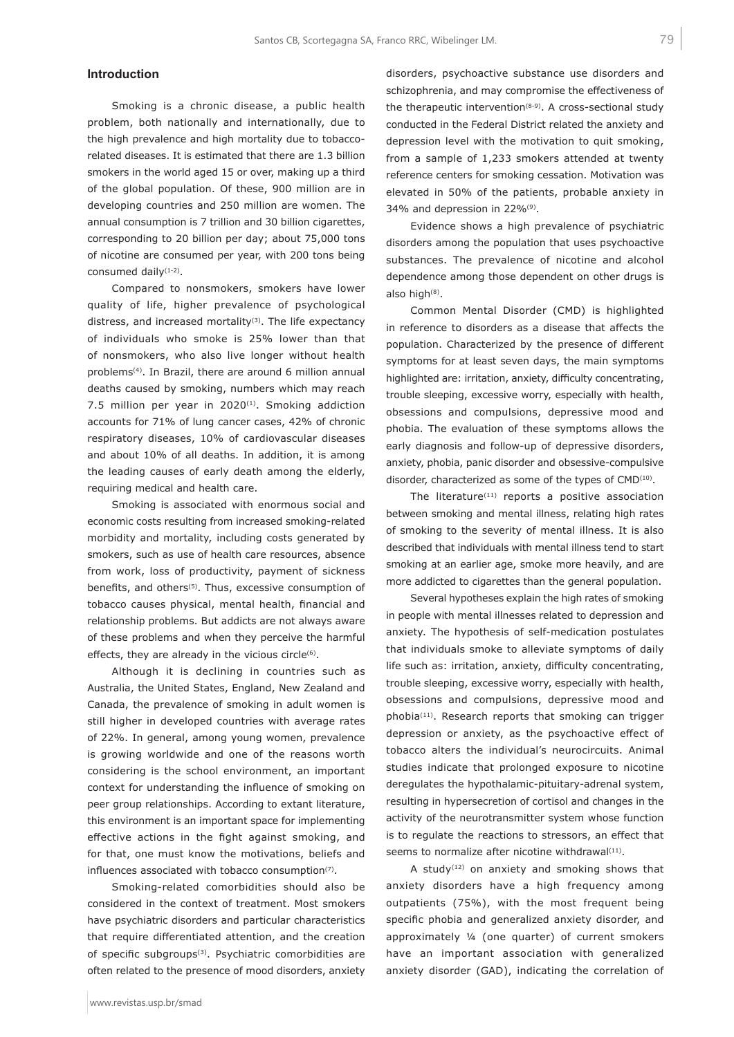### **Introduction**

Smoking is a chronic disease, a public health problem, both nationally and internationally, due to the high prevalence and high mortality due to tobaccorelated diseases. It is estimated that there are 1.3 billion smokers in the world aged 15 or over, making up a third of the global population. Of these, 900 million are in developing countries and 250 million are women. The annual consumption is 7 trillion and 30 billion cigarettes, corresponding to 20 billion per day; about 75,000 tons of nicotine are consumed per year, with 200 tons being consumed daily(1-2).

Compared to nonsmokers, smokers have lower quality of life, higher prevalence of psychological distress, and increased mortality $(3)$ . The life expectancy of individuals who smoke is 25% lower than that of nonsmokers, who also live longer without health problems(4). In Brazil, there are around 6 million annual deaths caused by smoking, numbers which may reach 7.5 million per year in 2020<sup>(1)</sup>. Smoking addiction accounts for 71% of lung cancer cases, 42% of chronic respiratory diseases, 10% of cardiovascular diseases and about 10% of all deaths. In addition, it is among the leading causes of early death among the elderly, requiring medical and health care.

Smoking is associated with enormous social and economic costs resulting from increased smoking-related morbidity and mortality, including costs generated by smokers, such as use of health care resources, absence from work, loss of productivity, payment of sickness benefits, and others<sup>(5)</sup>. Thus, excessive consumption of tobacco causes physical, mental health, financial and relationship problems. But addicts are not always aware of these problems and when they perceive the harmful effects, they are already in the vicious circle<sup>(6)</sup>.

Although it is declining in countries such as Australia, the United States, England, New Zealand and Canada, the prevalence of smoking in adult women is still higher in developed countries with average rates of 22%. In general, among young women, prevalence is growing worldwide and one of the reasons worth considering is the school environment, an important context for understanding the influence of smoking on peer group relationships. According to extant literature, this environment is an important space for implementing effective actions in the fight against smoking, and for that, one must know the motivations, beliefs and influences associated with tobacco consumption<sup>(7)</sup>.

Smoking-related comorbidities should also be considered in the context of treatment. Most smokers have psychiatric disorders and particular characteristics that require differentiated attention, and the creation of specific subgroups(3). Psychiatric comorbidities are often related to the presence of mood disorders, anxiety

disorders, psychoactive substance use disorders and schizophrenia, and may compromise the effectiveness of the therapeutic intervention<sup>(8-9)</sup>. A cross-sectional study conducted in the Federal District related the anxiety and depression level with the motivation to quit smoking, from a sample of 1,233 smokers attended at twenty reference centers for smoking cessation. Motivation was elevated in 50% of the patients, probable anxiety in 34% and depression in 22%(9).

Evidence shows a high prevalence of psychiatric disorders among the population that uses psychoactive substances. The prevalence of nicotine and alcohol dependence among those dependent on other drugs is also high(8).

Common Mental Disorder (CMD) is highlighted in reference to disorders as a disease that affects the population. Characterized by the presence of different symptoms for at least seven days, the main symptoms highlighted are: irritation, anxiety, difficulty concentrating, trouble sleeping, excessive worry, especially with health, obsessions and compulsions, depressive mood and phobia. The evaluation of these symptoms allows the early diagnosis and follow-up of depressive disorders, anxiety, phobia, panic disorder and obsessive-compulsive disorder, characterized as some of the types of CMD<sup>(10)</sup>.

The literature $(11)$  reports a positive association between smoking and mental illness, relating high rates of smoking to the severity of mental illness. It is also described that individuals with mental illness tend to start smoking at an earlier age, smoke more heavily, and are more addicted to cigarettes than the general population.

Several hypotheses explain the high rates of smoking in people with mental illnesses related to depression and anxiety. The hypothesis of self-medication postulates that individuals smoke to alleviate symptoms of daily life such as: irritation, anxiety, difficulty concentrating, trouble sleeping, excessive worry, especially with health, obsessions and compulsions, depressive mood and phobia(11). Research reports that smoking can trigger depression or anxiety, as the psychoactive effect of tobacco alters the individual's neurocircuits. Animal studies indicate that prolonged exposure to nicotine deregulates the hypothalamic-pituitary-adrenal system, resulting in hypersecretion of cortisol and changes in the activity of the neurotransmitter system whose function is to regulate the reactions to stressors, an effect that seems to normalize after nicotine withdrawal(11).

A study $(12)$  on anxiety and smoking shows that anxiety disorders have a high frequency among outpatients (75%), with the most frequent being specific phobia and generalized anxiety disorder, and approximately ¼ (one quarter) of current smokers have an important association with generalized anxiety disorder (GAD), indicating the correlation of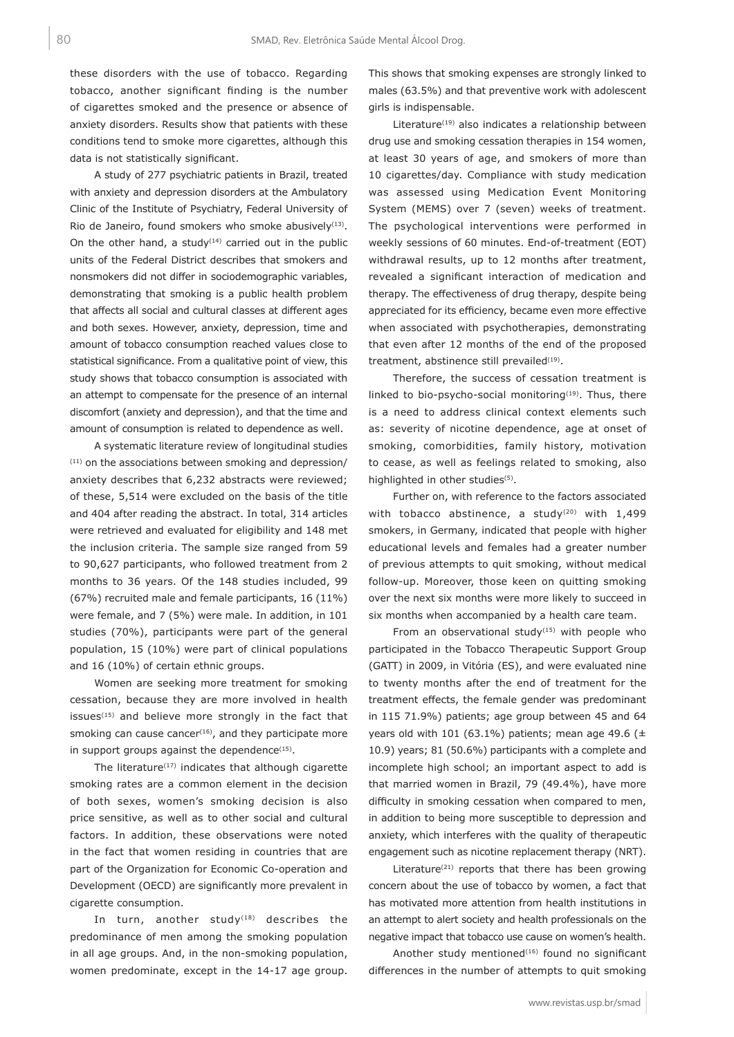these disorders with the use of tobacco. Regarding tobacco, another significant finding is the number of cigarettes smoked and the presence or absence of anxiety disorders. Results show that patients with these conditions tend to smoke more cigarettes, although this data is not statistically significant.

A study of 277 psychiatric patients in Brazil, treated with anxiety and depression disorders at the Ambulatory Clinic of the Institute of Psychiatry, Federal University of Rio de Janeiro, found smokers who smoke abusively<sup>(13)</sup>. On the other hand, a study<sup> $(14)$ </sup> carried out in the public units of the Federal District describes that smokers and nonsmokers did not differ in sociodemographic variables, demonstrating that smoking is a public health problem that affects all social and cultural classes at different ages and both sexes. However, anxiety, depression, time and amount of tobacco consumption reached values close to statistical significance. From a qualitative point of view, this study shows that tobacco consumption is associated with an attempt to compensate for the presence of an internal discomfort (anxiety and depression), and that the time and amount of consumption is related to dependence as well.

A systematic literature review of longitudinal studies  $(11)$  on the associations between smoking and depression/ anxiety describes that 6,232 abstracts were reviewed; of these, 5,514 were excluded on the basis of the title and 404 after reading the abstract. In total, 314 articles were retrieved and evaluated for eligibility and 148 met the inclusion criteria. The sample size ranged from 59 to 90,627 participants, who followed treatment from 2 months to 36 years. Of the 148 studies included, 99 (67%) recruited male and female participants, 16 (11%) were female, and 7 (5%) were male. In addition, in 101 studies (70%), participants were part of the general population, 15 (10%) were part of clinical populations and 16 (10%) of certain ethnic groups.

Women are seeking more treatment for smoking cessation, because they are more involved in health issues<sup>(15)</sup> and believe more strongly in the fact that smoking can cause cancer $(16)$ , and they participate more in support groups against the dependence $(15)$ .

The literature $(17)$  indicates that although cigarette smoking rates are a common element in the decision of both sexes, women's smoking decision is also price sensitive, as well as to other social and cultural factors. In addition, these observations were noted in the fact that women residing in countries that are part of the Organization for Economic Co-operation and Development (OECD) are significantly more prevalent in cigarette consumption.

In turn, another study $(18)$  describes the predominance of men among the smoking population in all age groups. And, in the non-smoking population, women predominate, except in the 14-17 age group.

This shows that smoking expenses are strongly linked to males (63.5%) and that preventive work with adolescent girls is indispensable.

Literature<sup>(19)</sup> also indicates a relationship between drug use and smoking cessation therapies in 154 women, at least 30 years of age, and smokers of more than 10 cigarettes/day. Compliance with study medication was assessed using Medication Event Monitoring System (MEMS) over 7 (seven) weeks of treatment. The psychological interventions were performed in weekly sessions of 60 minutes. End-of-treatment (EOT) withdrawal results, up to 12 months after treatment, revealed a significant interaction of medication and therapy. The effectiveness of drug therapy, despite being appreciated for its efficiency, became even more effective when associated with psychotherapies, demonstrating that even after 12 months of the end of the proposed treatment, abstinence still prevailed $(19)$ .

Therefore, the success of cessation treatment is linked to bio-psycho-social monitoring<sup>(19)</sup>. Thus, there is a need to address clinical context elements such as: severity of nicotine dependence, age at onset of smoking, comorbidities, family history, motivation to cease, as well as feelings related to smoking, also highlighted in other studies<sup>(5)</sup>.

Further on, with reference to the factors associated with tobacco abstinence, a study<sup>(20)</sup> with 1,499 smokers, in Germany, indicated that people with higher educational levels and females had a greater number of previous attempts to quit smoking, without medical follow-up. Moreover, those keen on quitting smoking over the next six months were more likely to succeed in six months when accompanied by a health care team.

From an observational study<sup>(15)</sup> with people who participated in the Tobacco Therapeutic Support Group (GATT) in 2009, in Vitória (ES), and were evaluated nine to twenty months after the end of treatment for the treatment effects, the female gender was predominant in 115 71.9%) patients; age group between 45 and 64 years old with 101 (63.1%) patients; mean age 49.6 ( $\pm$ 10.9) years; 81 (50.6%) participants with a complete and incomplete high school; an important aspect to add is that married women in Brazil, 79 (49.4%), have more difficulty in smoking cessation when compared to men, in addition to being more susceptible to depression and anxiety, which interferes with the quality of therapeutic engagement such as nicotine replacement therapy (NRT).

Literature $(21)$  reports that there has been growing concern about the use of tobacco by women, a fact that has motivated more attention from health institutions in an attempt to alert society and health professionals on the negative impact that tobacco use cause on women's health.

Another study mentioned<sup>(16)</sup> found no significant differences in the number of attempts to quit smoking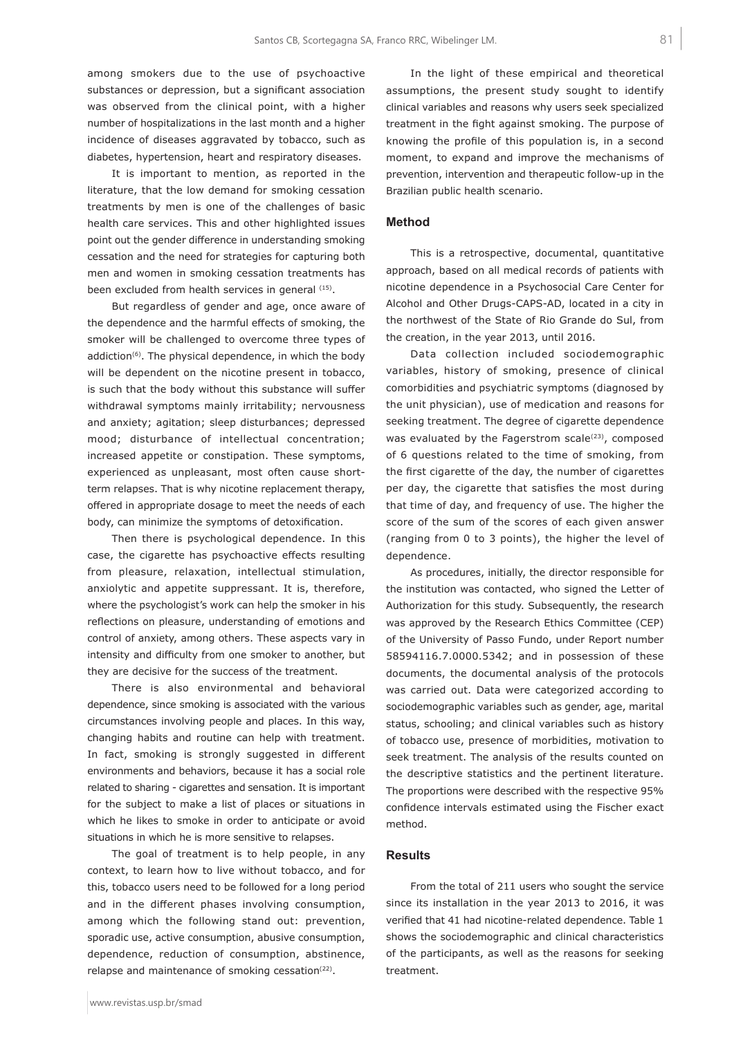among smokers due to the use of psychoactive substances or depression, but a significant association was observed from the clinical point, with a higher number of hospitalizations in the last month and a higher incidence of diseases aggravated by tobacco, such as diabetes, hypertension, heart and respiratory diseases.

It is important to mention, as reported in the literature, that the low demand for smoking cessation treatments by men is one of the challenges of basic health care services. This and other highlighted issues point out the gender difference in understanding smoking cessation and the need for strategies for capturing both men and women in smoking cessation treatments has been excluded from health services in general (15).

But regardless of gender and age, once aware of the dependence and the harmful effects of smoking, the smoker will be challenged to overcome three types of addiction<sup>(6)</sup>. The physical dependence, in which the body will be dependent on the nicotine present in tobacco, is such that the body without this substance will suffer withdrawal symptoms mainly irritability; nervousness and anxiety; agitation; sleep disturbances; depressed mood; disturbance of intellectual concentration; increased appetite or constipation. These symptoms, experienced as unpleasant, most often cause shortterm relapses. That is why nicotine replacement therapy, offered in appropriate dosage to meet the needs of each body, can minimize the symptoms of detoxification.

Then there is psychological dependence. In this case, the cigarette has psychoactive effects resulting from pleasure, relaxation, intellectual stimulation, anxiolytic and appetite suppressant. It is, therefore, where the psychologist's work can help the smoker in his reflections on pleasure, understanding of emotions and control of anxiety, among others. These aspects vary in intensity and difficulty from one smoker to another, but they are decisive for the success of the treatment.

There is also environmental and behavioral dependence, since smoking is associated with the various circumstances involving people and places. In this way, changing habits and routine can help with treatment. In fact, smoking is strongly suggested in different environments and behaviors, because it has a social role related to sharing - cigarettes and sensation. It is important for the subject to make a list of places or situations in which he likes to smoke in order to anticipate or avoid situations in which he is more sensitive to relapses.

The goal of treatment is to help people, in any context, to learn how to live without tobacco, and for this, tobacco users need to be followed for a long period and in the different phases involving consumption, among which the following stand out: prevention, sporadic use, active consumption, abusive consumption, dependence, reduction of consumption, abstinence, relapse and maintenance of smoking cessation<sup>(22)</sup>.

In the light of these empirical and theoretical assumptions, the present study sought to identify clinical variables and reasons why users seek specialized treatment in the fight against smoking. The purpose of knowing the profile of this population is, in a second moment, to expand and improve the mechanisms of prevention, intervention and therapeutic follow-up in the Brazilian public health scenario.

#### **Method**

This is a retrospective, documental, quantitative approach, based on all medical records of patients with nicotine dependence in a Psychosocial Care Center for Alcohol and Other Drugs-CAPS-AD, located in a city in the northwest of the State of Rio Grande do Sul, from the creation, in the year 2013, until 2016.

Data collection included sociodemographic variables, history of smoking, presence of clinical comorbidities and psychiatric symptoms (diagnosed by the unit physician), use of medication and reasons for seeking treatment. The degree of cigarette dependence was evaluated by the Fagerstrom scale $(23)$ , composed of 6 questions related to the time of smoking, from the first cigarette of the day, the number of cigarettes per day, the cigarette that satisfies the most during that time of day, and frequency of use. The higher the score of the sum of the scores of each given answer (ranging from 0 to 3 points), the higher the level of dependence.

As procedures, initially, the director responsible for the institution was contacted, who signed the Letter of Authorization for this study. Subsequently, the research was approved by the Research Ethics Committee (CEP) of the University of Passo Fundo, under Report number 58594116.7.0000.5342; and in possession of these documents, the documental analysis of the protocols was carried out. Data were categorized according to sociodemographic variables such as gender, age, marital status, schooling; and clinical variables such as history of tobacco use, presence of morbidities, motivation to seek treatment. The analysis of the results counted on the descriptive statistics and the pertinent literature. The proportions were described with the respective 95% confidence intervals estimated using the Fischer exact method.

#### **Results**

From the total of 211 users who sought the service since its installation in the year 2013 to 2016, it was verified that 41 had nicotine-related dependence. Table 1 shows the sociodemographic and clinical characteristics of the participants, as well as the reasons for seeking treatment.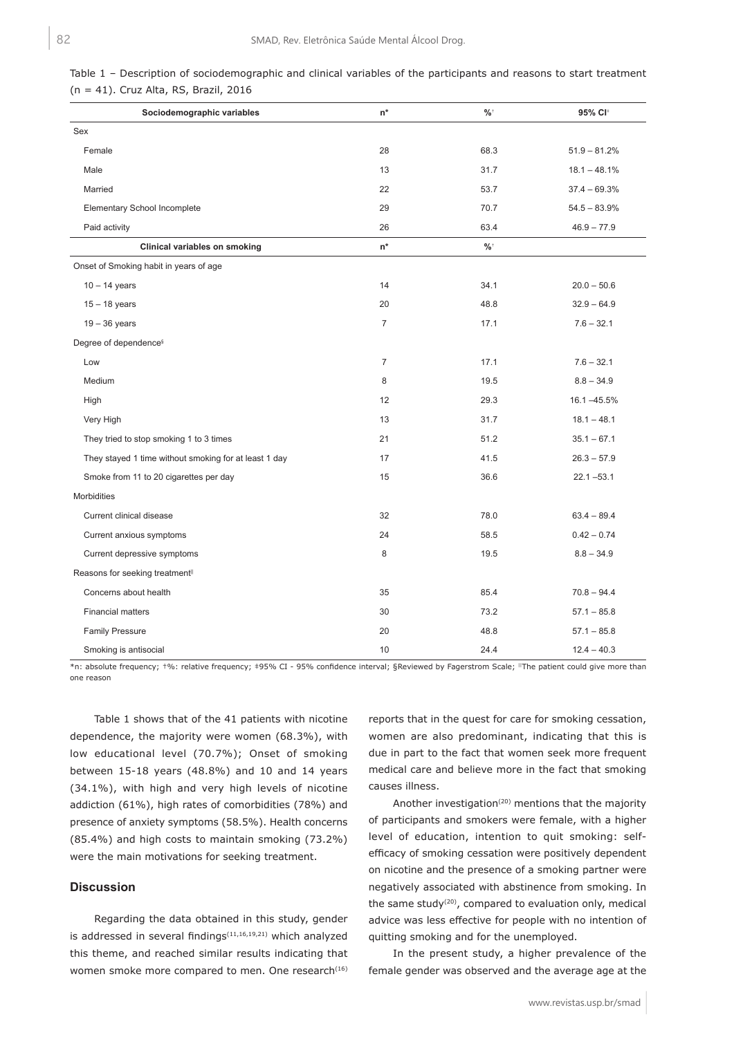| Sociodemographic variables                            | $n^*$          | $\%$ | 95% CI+        |  |  |
|-------------------------------------------------------|----------------|------|----------------|--|--|
| Sex                                                   |                |      |                |  |  |
| Female                                                | 28             | 68.3 | $51.9 - 81.2%$ |  |  |
| Male                                                  | 13             | 31.7 | $18.1 - 48.1%$ |  |  |
| Married                                               | 22             | 53.7 | $37.4 - 69.3%$ |  |  |
| Elementary School Incomplete                          | 29             | 70.7 | $54.5 - 83.9%$ |  |  |
| Paid activity                                         | 26             | 63.4 | $46.9 - 77.9$  |  |  |
| Clinical variables on smoking                         | $n^*$          | $\%$ |                |  |  |
| Onset of Smoking habit in years of age                |                |      |                |  |  |
| $10 - 14$ years                                       | 14             | 34.1 | $20.0 - 50.6$  |  |  |
| $15 - 18$ years                                       | 20             | 48.8 | $32.9 - 64.9$  |  |  |
| $19 - 36$ years                                       | $\overline{7}$ | 17.1 | $7.6 - 32.1$   |  |  |
| Degree of dependence <sup>§</sup>                     |                |      |                |  |  |
| Low                                                   | $\overline{7}$ | 17.1 | $7.6 - 32.1$   |  |  |
| Medium                                                | 8              | 19.5 | $8.8 - 34.9$   |  |  |
| High                                                  | 12             | 29.3 | 16.1 -45.5%    |  |  |
| Very High                                             | 13             | 31.7 | $18.1 - 48.1$  |  |  |
| They tried to stop smoking 1 to 3 times               | 21             | 51.2 | $35.1 - 67.1$  |  |  |
| They stayed 1 time without smoking for at least 1 day | 17             | 41.5 | $26.3 - 57.9$  |  |  |
| Smoke from 11 to 20 cigarettes per day                | 15             | 36.6 | $22.1 - 53.1$  |  |  |
| <b>Morbidities</b>                                    |                |      |                |  |  |
| Current clinical disease                              | 32             | 78.0 | $63.4 - 89.4$  |  |  |
| Current anxious symptoms                              | 24             | 58.5 | $0.42 - 0.74$  |  |  |
| Current depressive symptoms                           | 8              | 19.5 | $8.8 - 34.9$   |  |  |
| Reasons for seeking treatment <sup>II</sup>           |                |      |                |  |  |
| Concerns about health                                 | 35             | 85.4 | $70.8 - 94.4$  |  |  |
| <b>Financial matters</b>                              | 30             | 73.2 | $57.1 - 85.8$  |  |  |
| <b>Family Pressure</b>                                | 20             | 48.8 | $57.1 - 85.8$  |  |  |
| Smoking is antisocial                                 | 10             | 24.4 | $12.4 - 40.3$  |  |  |

|  | Table 1 – Description of sociodemographic and clinical variables of the participants and reasons to start treatment |  |  |  |  |
|--|---------------------------------------------------------------------------------------------------------------------|--|--|--|--|
|  | $(n = 41)$ . Cruz Alta, RS, Brazil, 2016                                                                            |  |  |  |  |

\*n: absolute frequency; †%: relative frequency; ‡95% CI - 95% confidence interval; §Reviewed by Fagerstrom Scale; ||The patient could give more than one reason

Table 1 shows that of the 41 patients with nicotine dependence, the majority were women (68.3%), with low educational level (70.7%); Onset of smoking between 15-18 years (48.8%) and 10 and 14 years (34.1%), with high and very high levels of nicotine addiction (61%), high rates of comorbidities (78%) and presence of anxiety symptoms (58.5%). Health concerns (85.4%) and high costs to maintain smoking (73.2%) were the main motivations for seeking treatment.

#### **Discussion**

Regarding the data obtained in this study, gender is addressed in several findings $(11,16,19,21)$  which analyzed this theme, and reached similar results indicating that women smoke more compared to men. One research<sup>(16)</sup> reports that in the quest for care for smoking cessation, women are also predominant, indicating that this is due in part to the fact that women seek more frequent medical care and believe more in the fact that smoking causes illness.

Another investigation<sup>(20)</sup> mentions that the majority of participants and smokers were female, with a higher level of education, intention to quit smoking: selfefficacy of smoking cessation were positively dependent on nicotine and the presence of a smoking partner were negatively associated with abstinence from smoking. In the same study<sup>(20)</sup>, compared to evaluation only, medical advice was less effective for people with no intention of quitting smoking and for the unemployed.

In the present study, a higher prevalence of the female gender was observed and the average age at the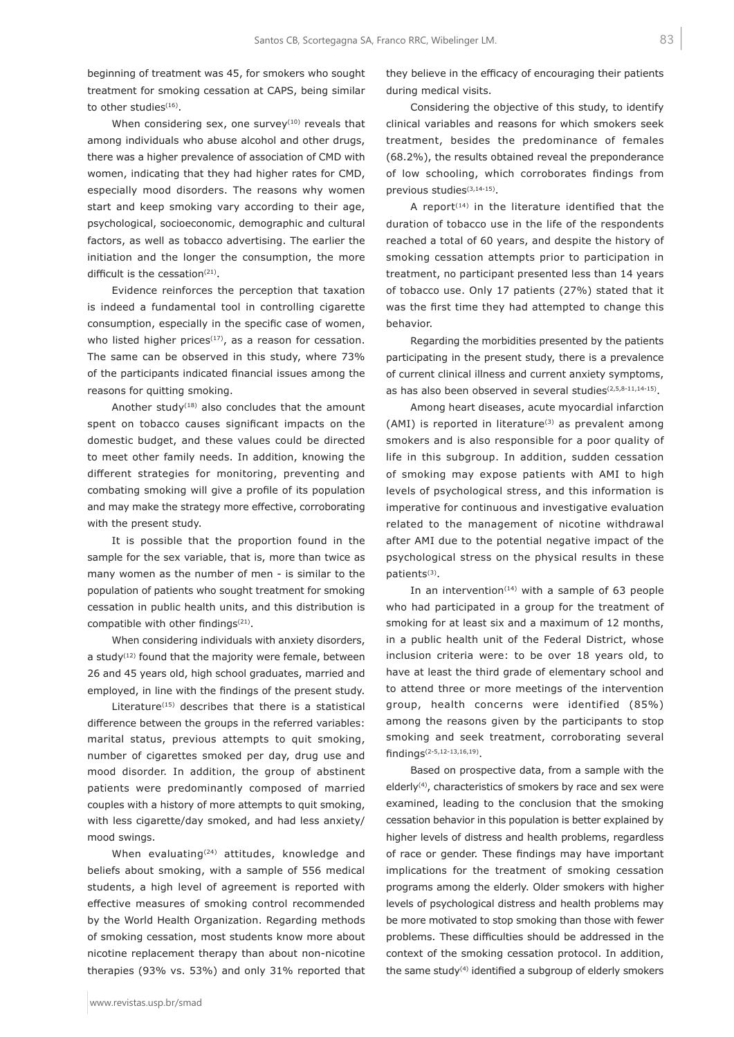beginning of treatment was 45, for smokers who sought treatment for smoking cessation at CAPS, being similar to other studies<sup>(16)</sup>.

When considering sex, one survey $(10)$  reveals that among individuals who abuse alcohol and other drugs, there was a higher prevalence of association of CMD with women, indicating that they had higher rates for CMD, especially mood disorders. The reasons why women start and keep smoking vary according to their age, psychological, socioeconomic, demographic and cultural factors, as well as tobacco advertising. The earlier the initiation and the longer the consumption, the more difficult is the cessation $(21)$ .

Evidence reinforces the perception that taxation is indeed a fundamental tool in controlling cigarette consumption, especially in the specific case of women, who listed higher prices $(17)$ , as a reason for cessation. The same can be observed in this study, where 73% of the participants indicated financial issues among the reasons for quitting smoking.

Another study<sup> $(18)$ </sup> also concludes that the amount spent on tobacco causes significant impacts on the domestic budget, and these values could be directed to meet other family needs. In addition, knowing the different strategies for monitoring, preventing and combating smoking will give a profile of its population and may make the strategy more effective, corroborating with the present study.

It is possible that the proportion found in the sample for the sex variable, that is, more than twice as many women as the number of men - is similar to the population of patients who sought treatment for smoking cessation in public health units, and this distribution is compatible with other findings<sup>(21)</sup>.

When considering individuals with anxiety disorders, a study $(12)$  found that the majority were female, between 26 and 45 years old, high school graduates, married and employed, in line with the findings of the present study.

Literature $(15)$  describes that there is a statistical difference between the groups in the referred variables: marital status, previous attempts to quit smoking, number of cigarettes smoked per day, drug use and mood disorder. In addition, the group of abstinent patients were predominantly composed of married couples with a history of more attempts to quit smoking, with less cigarette/day smoked, and had less anxiety/ mood swings.

When evaluating<sup>(24)</sup> attitudes, knowledge and beliefs about smoking, with a sample of 556 medical students, a high level of agreement is reported with effective measures of smoking control recommended by the World Health Organization. Regarding methods of smoking cessation, most students know more about nicotine replacement therapy than about non-nicotine therapies (93% vs. 53%) and only 31% reported that

Considering the objective of this study, to identify clinical variables and reasons for which smokers seek treatment, besides the predominance of females (68.2%), the results obtained reveal the preponderance of low schooling, which corroborates findings from previous studies(3,14-15).

A report $(14)$  in the literature identified that the duration of tobacco use in the life of the respondents reached a total of 60 years, and despite the history of smoking cessation attempts prior to participation in treatment, no participant presented less than 14 years of tobacco use. Only 17 patients (27%) stated that it was the first time they had attempted to change this behavior.

Regarding the morbidities presented by the patients participating in the present study, there is a prevalence of current clinical illness and current anxiety symptoms, as has also been observed in several studies<sup>(2,5,8-11,14-15)</sup>.

Among heart diseases, acute myocardial infarction (AMI) is reported in literature<sup>(3)</sup> as prevalent among smokers and is also responsible for a poor quality of life in this subgroup. In addition, sudden cessation of smoking may expose patients with AMI to high levels of psychological stress, and this information is imperative for continuous and investigative evaluation related to the management of nicotine withdrawal after AMI due to the potential negative impact of the psychological stress on the physical results in these patients(3).

In an intervention<sup> $(14)$ </sup> with a sample of 63 people who had participated in a group for the treatment of smoking for at least six and a maximum of 12 months, in a public health unit of the Federal District, whose inclusion criteria were: to be over 18 years old, to have at least the third grade of elementary school and to attend three or more meetings of the intervention group, health concerns were identified (85%) among the reasons given by the participants to stop smoking and seek treatment, corroborating several findings(2-5,12-13,16,19).

Based on prospective data, from a sample with the elderly<sup>(4)</sup>, characteristics of smokers by race and sex were examined, leading to the conclusion that the smoking cessation behavior in this population is better explained by higher levels of distress and health problems, regardless of race or gender. These findings may have important implications for the treatment of smoking cessation programs among the elderly. Older smokers with higher levels of psychological distress and health problems may be more motivated to stop smoking than those with fewer problems. These difficulties should be addressed in the context of the smoking cessation protocol. In addition, the same study<sup>(4)</sup> identified a subgroup of elderly smokers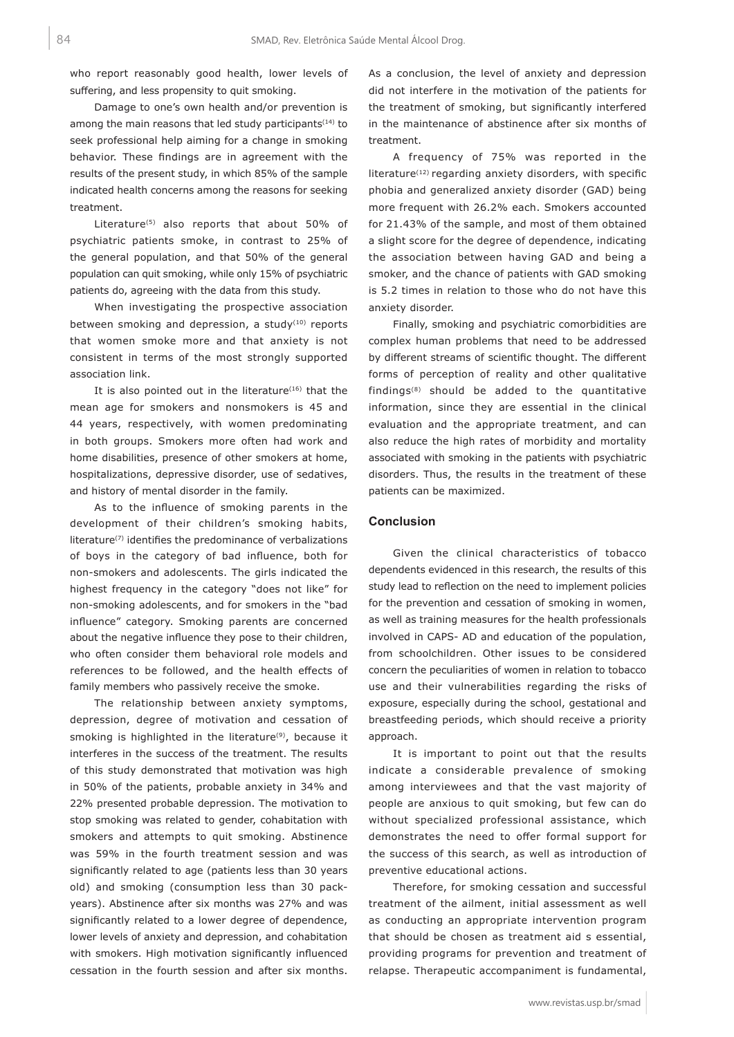who report reasonably good health, lower levels of suffering, and less propensity to quit smoking.

Damage to one's own health and/or prevention is among the main reasons that led study participants<sup>(14)</sup> to seek professional help aiming for a change in smoking behavior. These findings are in agreement with the results of the present study, in which 85% of the sample indicated health concerns among the reasons for seeking treatment.

Literature(5) also reports that about 50% of psychiatric patients smoke, in contrast to 25% of the general population, and that 50% of the general population can quit smoking, while only 15% of psychiatric patients do, agreeing with the data from this study.

When investigating the prospective association between smoking and depression, a study $(10)$  reports that women smoke more and that anxiety is not consistent in terms of the most strongly supported association link.

It is also pointed out in the literature $(16)$  that the mean age for smokers and nonsmokers is 45 and 44 years, respectively, with women predominating in both groups. Smokers more often had work and home disabilities, presence of other smokers at home, hospitalizations, depressive disorder, use of sedatives, and history of mental disorder in the family.

As to the influence of smoking parents in the development of their children's smoking habits, literature(7) identifies the predominance of verbalizations of boys in the category of bad influence, both for non-smokers and adolescents. The girls indicated the highest frequency in the category "does not like" for non-smoking adolescents, and for smokers in the "bad influence" category. Smoking parents are concerned about the negative influence they pose to their children, who often consider them behavioral role models and references to be followed, and the health effects of family members who passively receive the smoke.

The relationship between anxiety symptoms, depression, degree of motivation and cessation of smoking is highlighted in the literature<sup>(9)</sup>, because it interferes in the success of the treatment. The results of this study demonstrated that motivation was high in 50% of the patients, probable anxiety in 34% and 22% presented probable depression. The motivation to stop smoking was related to gender, cohabitation with smokers and attempts to quit smoking. Abstinence was 59% in the fourth treatment session and was significantly related to age (patients less than 30 years old) and smoking (consumption less than 30 packyears). Abstinence after six months was 27% and was significantly related to a lower degree of dependence, lower levels of anxiety and depression, and cohabitation with smokers. High motivation significantly influenced cessation in the fourth session and after six months.

As a conclusion, the level of anxiety and depression did not interfere in the motivation of the patients for the treatment of smoking, but significantly interfered in the maintenance of abstinence after six months of treatment.

A frequency of 75% was reported in the literature<sup>(12)</sup> regarding anxiety disorders, with specific phobia and generalized anxiety disorder (GAD) being more frequent with 26.2% each. Smokers accounted for 21.43% of the sample, and most of them obtained a slight score for the degree of dependence, indicating the association between having GAD and being a smoker, and the chance of patients with GAD smoking is 5.2 times in relation to those who do not have this anxiety disorder.

Finally, smoking and psychiatric comorbidities are complex human problems that need to be addressed by different streams of scientific thought. The different forms of perception of reality and other qualitative findings(8) should be added to the quantitative information, since they are essential in the clinical evaluation and the appropriate treatment, and can also reduce the high rates of morbidity and mortality associated with smoking in the patients with psychiatric disorders. Thus, the results in the treatment of these patients can be maximized.

#### **Conclusion**

Given the clinical characteristics of tobacco dependents evidenced in this research, the results of this study lead to reflection on the need to implement policies for the prevention and cessation of smoking in women, as well as training measures for the health professionals involved in CAPS- AD and education of the population, from schoolchildren. Other issues to be considered concern the peculiarities of women in relation to tobacco use and their vulnerabilities regarding the risks of exposure, especially during the school, gestational and breastfeeding periods, which should receive a priority approach.

It is important to point out that the results indicate a considerable prevalence of smoking among interviewees and that the vast majority of people are anxious to quit smoking, but few can do without specialized professional assistance, which demonstrates the need to offer formal support for the success of this search, as well as introduction of preventive educational actions.

Therefore, for smoking cessation and successful treatment of the ailment, initial assessment as well as conducting an appropriate intervention program that should be chosen as treatment aid s essential, providing programs for prevention and treatment of relapse. Therapeutic accompaniment is fundamental,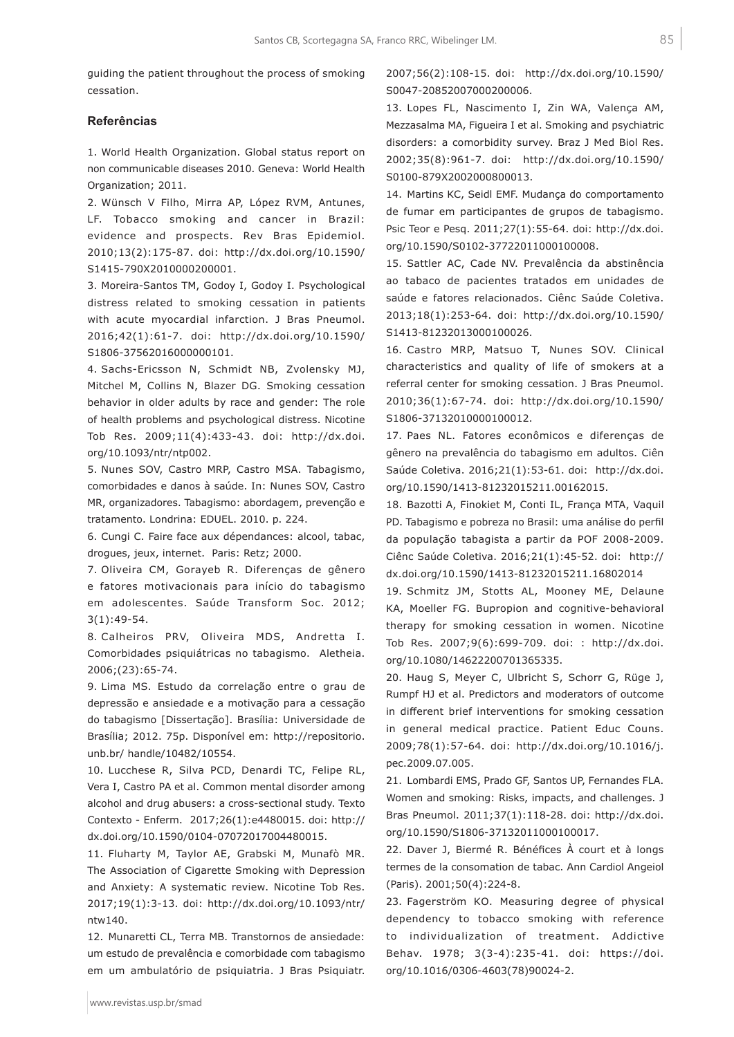guiding the patient throughout the process of smoking cessation.

### **Referências**

1. World Health Organization. Global status report on non communicable diseases 2010. Geneva: World Health Organization; 2011.

2. Wünsch V Filho, Mirra AP, López RVM, Antunes, LF. Tobacco smoking and cancer in Brazil: evidence and prospects. Rev Bras Epidemiol. 2010;13(2):175-87. doi: http://dx.doi.org/10.1590/ S1415-790X2010000200001.

3. Moreira-Santos TM, Godoy I, Godoy I. Psychological distress related to smoking cessation in patients with acute myocardial infarction. J Bras Pneumol. 2016;42(1):61-7. doi: http://dx.doi.org/10.1590/ S1806-37562016000000101.

4. Sachs-Ericsson N, Schmidt NB, Zvolensky MJ, Mitchel M, Collins N, Blazer DG. Smoking cessation behavior in older adults by race and gender: The role of health problems and psychological distress. Nicotine Tob Res. 2009;11(4):433-43. doi: http://dx.doi. org/10.1093/ntr/ntp002.

5. Nunes SOV, Castro MRP, Castro MSA. Tabagismo, comorbidades e danos à saúde. In: Nunes SOV, Castro MR, organizadores. Tabagismo: abordagem, prevenção e tratamento. Londrina: EDUEL. 2010. p. 224.

6. Cungi C. Faire face aux dépendances: alcool, tabac, drogues, jeux, internet. Paris: Retz; 2000.

7. Oliveira CM, Gorayeb R. Diferenças de gênero e fatores motivacionais para início do tabagismo em adolescentes. Saúde Transform Soc. 2012; 3(1):49-54.

8. Calheiros PRV, Oliveira MDS, Andretta I. Comorbidades psiquiátricas no tabagismo. Aletheia. 2006;(23):65-74.

9. Lima MS. Estudo da correlação entre o grau de depressão e ansiedade e a motivação para a cessação do tabagismo [Dissertação]. Brasília: Universidade de Brasília; 2012. 75p. Disponível em: http://repositorio. unb.br/ handle/10482/10554.

10. Lucchese R, Silva PCD, Denardi TC, Felipe RL, Vera I, Castro PA et al. Common mental disorder among alcohol and drug abusers: a cross-sectional study. Texto Contexto - Enferm. 2017;26(1):e4480015. doi: http:// dx.doi.org/10.1590/0104-07072017004480015.

11. Fluharty M, Taylor AE, Grabski M, Munafò MR. The Association of Cigarette Smoking with Depression and Anxiety: A systematic review. Nicotine Tob Res. 2017;19(1):3-13. doi: http://dx.doi.org/10.1093/ntr/ ntw140.

12. Munaretti CL, Terra MB. Transtornos de ansiedade: um estudo de prevalência e comorbidade com tabagismo em um ambulatório de psiquiatria. J Bras Psiquiatr. 2007;56(2):108-15. doi: http://dx.doi.org/10.1590/ S0047-20852007000200006.

13. Lopes FL, Nascimento I, Zin WA, Valença AM, Mezzasalma MA, Figueira I et al. Smoking and psychiatric disorders: a comorbidity survey. Braz J Med Biol Res. 2002;35(8):961-7. doi: http://dx.doi.org/10.1590/ S0100-879X2002000800013.

14. Martins KC, Seidl EMF. Mudança do comportamento de fumar em participantes de grupos de tabagismo. Psic Teor e Pesq. 2011;27(1):55-64. doi: http://dx.doi. org/10.1590/S0102-37722011000100008.

15. Sattler AC, Cade NV. Prevalência da abstinência ao tabaco de pacientes tratados em unidades de saúde e fatores relacionados. Ciênc Saúde Coletiva. 2013;18(1):253-64. doi: http://dx.doi.org/10.1590/ S1413-81232013000100026.

16. Castro MRP, Matsuo T, Nunes SOV. Clinical characteristics and quality of life of smokers at a referral center for smoking cessation. J Bras Pneumol. 2010;36(1):67-74. doi: http://dx.doi.org/10.1590/ S1806-37132010000100012.

17. Paes NL. Fatores econômicos e diferenças de gênero na prevalência do tabagismo em adultos. Ciên Saúde Coletiva. 2016;21(1):53-61. doi: http://dx.doi. org/10.1590/1413-81232015211.00162015.

18. Bazotti A, Finokiet M, Conti IL, França MTA, Vaquil PD. Tabagismo e pobreza no Brasil: uma análise do perfil da população tabagista a partir da POF 2008-2009. Ciênc Saúde Coletiva. 2016;21(1):45-52. doi: http:// dx.doi.org/10.1590/1413-81232015211.16802014

19. Schmitz JM, Stotts AL, Mooney ME, Delaune KA, Moeller FG. Bupropion and cognitive-behavioral therapy for smoking cessation in women. Nicotine Tob Res. 2007;9(6):699-709. doi: : http://dx.doi. org/10.1080/14622200701365335.

20. Haug S, Meyer C, Ulbricht S, Schorr G, Rüge J, Rumpf HJ et al. Predictors and moderators of outcome in different brief interventions for smoking cessation in general medical practice. Patient Educ Couns. 2009;78(1):57-64. doi: http://dx.doi.org/10.1016/j. pec.2009.07.005.

21. Lombardi EMS, Prado GF, Santos UP, Fernandes FLA. Women and smoking: Risks, impacts, and challenges. J Bras Pneumol. 2011;37(1):118-28. doi: http://dx.doi. org/10.1590/S1806-37132011000100017.

22. Daver J, Biermé R. Bénéfices À court et à longs termes de la consomation de tabac. Ann Cardiol Angeiol (Paris). 2001;50(4):224-8.

23. Fagerström KO. Measuring degree of physical dependency to tobacco smoking with reference to individualization of treatment. Addictive Behav. 1978; 3(3-4):235-41. doi: https://doi. org/10.1016/0306-4603(78)90024-2.